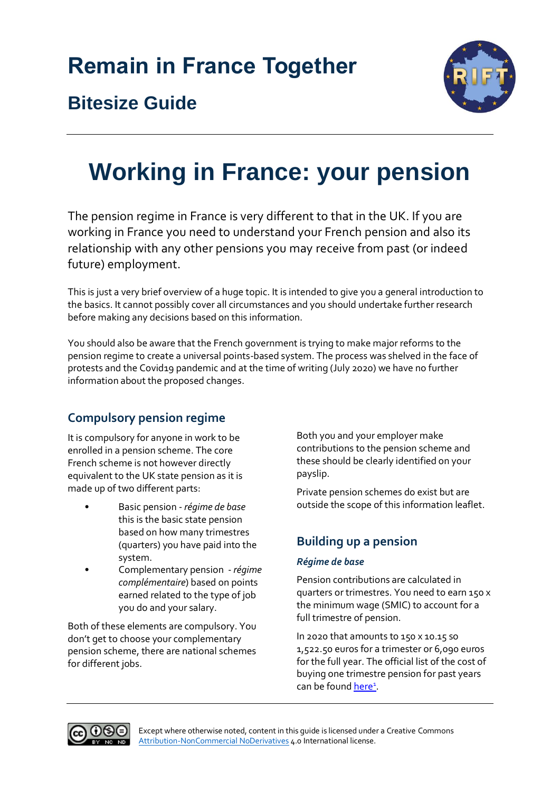

## **Bitesize Guide**

# **Working in France: your pension**

The pension regime in France is very different to that in the UK. If you are working in France you need to understand your French pension and also its relationship with any other pensions you may receive from past (or indeed future) employment.

This is just a very brief overview of a huge topic. It is intended to give you a general introduction to the basics. It cannot possibly cover all circumstances and you should undertake further research before making any decisions based on this information.

You should also be aware that the French government is trying to make major reforms to the pension regime to create a universal points-based system. The process was shelved in the face of protests and the Covid19 pandemic and at the time of writing (July 2020) we have no further information about the proposed changes.

## **Compulsory pension regime**

It is compulsory for anyone in work to be enrolled in a pension scheme. The core French scheme is not however directly equivalent to the UK state pension as it is made up of two different parts:

- Basic pension *régime de base* this is the basic state pension based on how many trimestres (quarters) you have paid into the system.
- Complementary pension *régime complémentaire*) based on points earned related to the type of job you do and your salary.

Both of these elements are compulsory. You don't get to choose your complementary pension scheme, there are national schemes for different jobs.

Both you and your employer make contributions to the pension scheme and these should be clearly identified on your payslip.

Private pension schemes do exist but are outside the scope of this information leaflet.

## **Building up a pension**

#### *Régime de base*

Pension contributions are calculated in quarters or trimestres. You need to earn 150 x the minimum wage (SMIC) to account for a full trimestre of pension.

In 2020 that amounts to 150 x 10.15 so 1,522.50 euros for a trimester or 6,090 euros for the full year. The official list of the cost of buying one trimestre pension for past years can be foun[d here](https://www.legislation.cnav.fr/Lists/ArticlesBareme/DispForm.aspx?ID=3479&ContentTypeId=0x01007CF8FA8574A1B64CA3888B8B205B3F58)<sup>1</sup>.

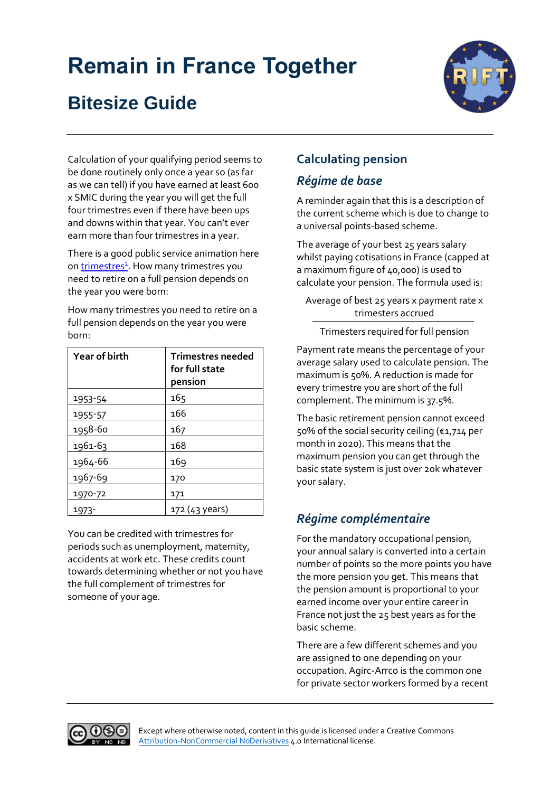## **Bitesize Guide**



Calculation of your qualifying period seems to be done routinely only once a year so (as far as we can tell) if you have earned at least 600 x SMIC during the year you will get the full four trimestres even if there have been ups and downs within that year. You can't ever earn more than four trimestres in a year.

There is a good public service animation here on **trimestres<sup>2</sup>**. How many [trimestres](https://www.youtube.com/watch?v=TcjmKnXXsp4) you need to retire on a full pension depends on the year you were born:

How many trimestres you need to retire on a full pension depends on the year you were born:

| <b>Year of birth</b> | <b>Trimestres needed</b><br>for full state<br>pension |
|----------------------|-------------------------------------------------------|
| 1953-54              | 165                                                   |
| 1955-57              | 166                                                   |
| 1958-60              | 167                                                   |
| 1961-63              | 168                                                   |
| 1964-66              | 169                                                   |
| 1967-69              | 170                                                   |
| 1970-72              | 171                                                   |
| 1973-                | 172 (43 years)                                        |

You can be credited with trimestres for periods such as unemployment, maternity, accidents at work etc. These credits count towards determining whether or not you have the full complement of trimestres for someone of your age.

## **Calculating pension**

#### *Régime de base*

A reminder again that this is a description of the current scheme which is due to change to a universal points-based scheme.

The average of your best 25 years salary whilst paying cotisations in France (capped at a maximum figure of 40,000) is used to calculate your pension. The formula used is:

Average of best 25 years x payment rate x trimesters accrued

Trimesters required for full pension

Payment rate means the percentage of your average salary used to calculate pension. The maximum is 50%. A reduction is made for every trimestre you are short of the full complement. The minimum is 37.5%.

The basic retirement pension cannot exceed 50% of the social security ceiling (€1,714 per month in 2020). This means that the maximum pension you can get through the basic state system is just over 20k whatever your salary.

## *Régime complémentaire*

For the mandatory occupational pension, your annual salary is converted into a certain number of points so the more points you have the more pension you get. This means that the pension amount is proportional to your earned income over your entire career in France not just the 25 best years as for the basic scheme.

There are a few different schemes and you are assigned to one depending on your occupation. Agirc-Arrco is the common one for private sector workers formed by a recent

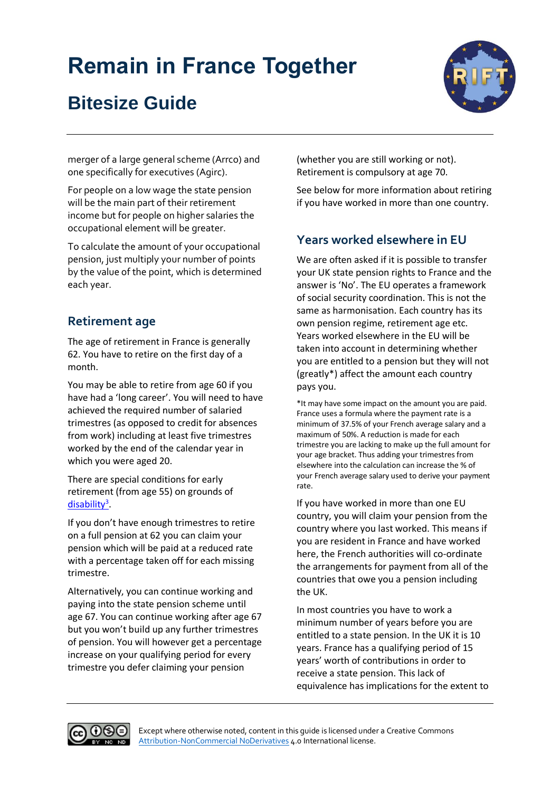## **Bitesize Guide**



merger of a large general scheme (Arrco) and one specifically for executives (Agirc).

For people on a low wage the state pension will be the main part of their retirement income but for people on higher salaries the occupational element will be greater.

To calculate the amount of your occupational pension, just multiply your number of points by the value of the point, which is determined each year.

#### **Retirement age**

The age of retirement in France is generally 62. You have to retire on the first day of a month.

You may be able to retire from age 60 if you have had a 'long career'. You will need to have achieved the required number of salaried trimestres (as opposed to credit for absences from work) including at least five trimestres worked by the end of the calendar year in which you were aged 20.

There are special conditions for early retirement (from age 55) on grounds of [disability](https://www.lassuranceretraite.fr/portail-info/sites/pub/hors-menu/annexe/salaries/age-depart-retraite/la-retraite-anticipee-des-assure.html)<sup>3</sup>.

If you don't have enough trimestres to retire on a full pension at 62 you can claim your pension which will be paid at a reduced rate with a percentage taken off for each missing trimestre.

Alternatively, you can continue working and paying into the state pension scheme until age 67. You can continue working after age 67 but you won't build up any further trimestres of pension. You will however get a percentage increase on your qualifying period for every trimestre you defer claiming your pension

(whether you are still working or not). Retirement is compulsory at age 70.

See below for more information about retiring if you have worked in more than one country.

## **Years worked elsewhere in EU**

We are often asked if it is possible to transfer your UK state pension rights to France and the answer is 'No'. The EU operates a framework of social security coordination. This is not the same as harmonisation. Each country has its own pension regime, retirement age etc. Years worked elsewhere in the EU will be taken into account in determining whether you are entitled to a pension but they will not (greatly\*) affect the amount each country pays you.

\*It may have some impact on the amount you are paid. France uses a formula where the payment rate is a minimum of 37.5% of your French average salary and a maximum of 50%. A reduction is made for each trimestre you are lacking to make up the full amount for your age bracket. Thus adding your trimestres from elsewhere into the calculation can increase the % of your French average salary used to derive your payment rate.

If you have worked in more than one EU country, you will claim your pension from the country where you last worked. This means if you are resident in France and have worked here, the French authorities will co-ordinate the arrangements for payment from all of the countries that owe you a pension including the UK.

In most countries you have to work a minimum number of years before you are entitled to a state pension. In the UK it is 10 years. France has a qualifying period of 15 years' worth of contributions in order to receive a state pension. This lack of equivalence has implications for the extent to

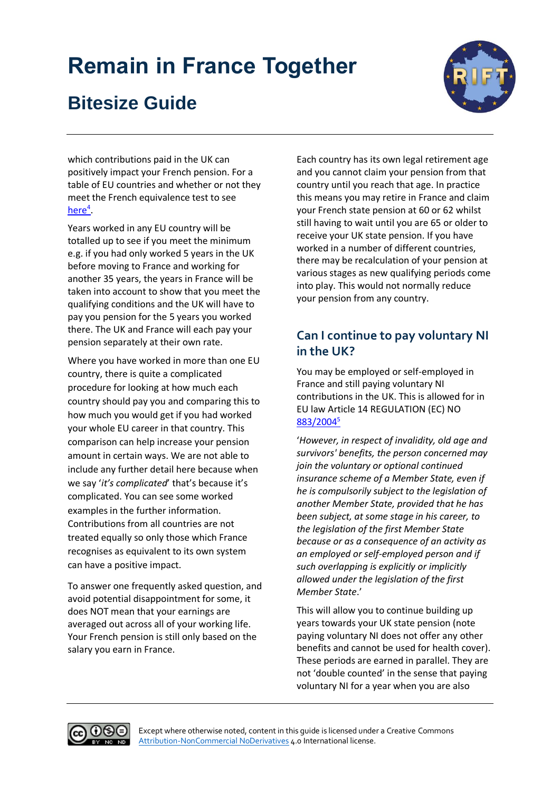## **Bitesize Guide**

which contributions paid in the UK can positively impact your French pension. For a table of EU countries and whether or not they meet the French equivalence test to see [here](https://www.legislation.cnav.fr/Pages/texte.aspx?Nom=circulaire_cnav_2012_26_14032012#annexe)<sup>4</sup>.

Years worked in any EU country will be totalled up to see if you meet the minimum e.g. if you had only worked 5 years in the UK before moving to France and working for another 35 years, the years in France will be taken into account to show that you meet the qualifying conditions and the UK will have to pay you pension for the 5 years you worked there. The UK and France will each pay your pension separately at their own rate.

Where you have worked in more than one EU country, there is quite a complicated procedure for looking at how much each country should pay you and comparing this to how much you would get if you had worked your whole EU career in that country. This comparison can help increase your pension amount in certain ways. We are not able to include any further detail here because when we say '*it's complicated*' that's because it's complicated. You can see some worked examples in the further information. Contributions from all countries are not treated equally so only those which France recognises as equivalent to its own system can have a positive impact.

To answer one frequently asked question, and avoid potential disappointment for some, it does NOT mean that your earnings are averaged out across all of your working life. Your French pension is still only based on the salary you earn in France.

Each country has its own legal retirement age and you cannot claim your pension from that country until you reach that age. In practice this means you may retire in France and claim your French state pension at 60 or 62 whilst still having to wait until you are 65 or older to receive your UK state pension. If you have worked in a number of different countries, there may be recalculation of your pension at various stages as new qualifying periods come into play. This would not normally reduce your pension from any country.

### **Can I continue to pay voluntary NI in the UK?**

You may be employed or self-employed in France and still paying voluntary NI contributions in the UK. This is allowed for in EU law Article 14 REGULATION (EC) NO [883/2004](https://eur-lex.europa.eu/legal-content/EN/TXT/HTML/?uri=CELEX:32004R0883&from=EN)<sup>5</sup>

'*However, in respect of invalidity, old age and survivors' benefits, the person concerned may join the voluntary or optional continued insurance scheme of a Member State, even if he is compulsorily subject to the legislation of another Member State, provided that he has been subject, at some stage in his career, to the legislation of the first Member State because or as a consequence of an activity as an employed or self-employed person and if such overlapping is explicitly or implicitly allowed under the legislation of the first Member State*.'

This will allow you to continue building up years towards your UK state pension (note paying voluntary NI does not offer any other benefits and cannot be used for health cover). These periods are earned in parallel. They are not 'double counted' in the sense that paying voluntary NI for a year when you are also

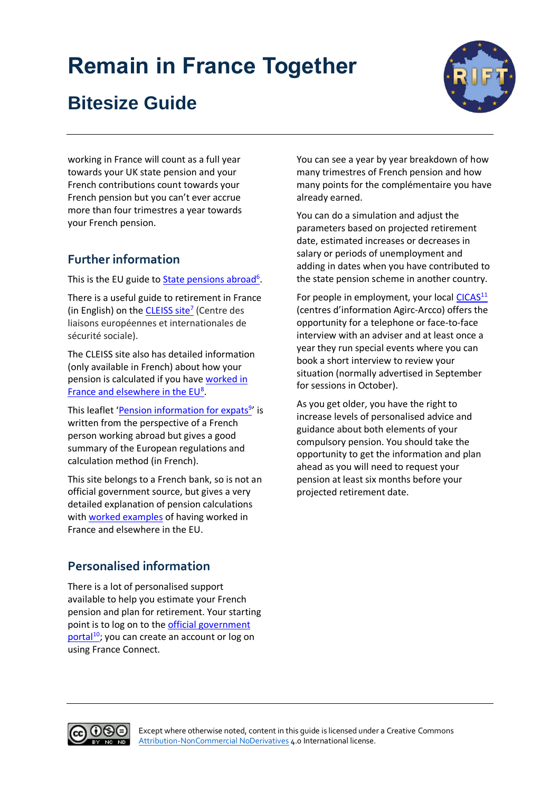## **Bitesize Guide**



working in France will count as a full year towards your UK state pension and your French contributions count towards your French pension but you can't ever accrue more than four trimestres a year towards your French pension.

### **Further information**

This is the EU guide to **State pensions abroad**<sup>6</sup>.

There is a useful guide to retirement in France (in English) on the **CLEISS site<sup>7</sup>** (Centre des liaisons européennes et internationales de sécurité sociale).

The CLEISS site also has detailed information (only available in French) about how your pension is calculated if you hav[e worked in](https://www.cleiss.fr/particuliers/preparer_votre_retraite883.html?fbclid=IwAR3BS-gBtWA1-xA4rCKp_m2CUEcKZGzOhpSuELSQ1BRyb_u8bZxDzefHTu4#:~:text=le%20revenu%20ou%20salaire%20annuel,apr%C3%A8s%20le%201er%20janvier%201948)  [France and elsewhere in the EU](https://www.cleiss.fr/particuliers/preparer_votre_retraite883.html?fbclid=IwAR3BS-gBtWA1-xA4rCKp_m2CUEcKZGzOhpSuELSQ1BRyb_u8bZxDzefHTu4#:~:text=le%20revenu%20ou%20salaire%20annuel,apr%C3%A8s%20le%201er%20janvier%201948)<sup>8</sup>.

This leaflet '*[Pension information for expats](https://www.lassuranceretraite.fr/portail-info/files/live/sites/pub/files/PDF/Gip_Expat.pdf)<sup>9</sup>'* is written from the perspective of a French person working abroad but gives a good summary of the European regulations and calculation method (in French).

This site belongs to a French bank, so is not an official government source, but gives a very detailed explanation of pension calculations with [worked examples](https://www.la-retraite-en-clair.fr/parcours-professionnel-regimes-retraite/carriere-etranger-retraite/retraite-expatries-pays-union-europeenne-pratique?fbclid=IwAR3dkgBhxut3vVYB08BU1c6EZsYxpkWuLyq1NCPXmKHN_lDlI_WCbFFvDBU) of having worked in France and elsewhere in the EU.

**Personalised information**

There is a lot of personalised support available to help you estimate your French pension and plan for retirement. Your starting point is to log on to the [official government](https://www.lassuranceretraite.fr/portail-info/home.html)  [portal](https://www.lassuranceretraite.fr/portail-info/home.html)<sup>10</sup>; you can create an account or log on using France Connect.

You can see a year by year breakdown of how many trimestres of French pension and how many points for the complémentaire you have already earned.

You can do a simulation and adjust the parameters based on projected retirement date, estimated increases or decreases in salary or periods of unemployment and adding in dates when you have contributed to the state pension scheme in another country.

For people in employment, your local [CICAS](https://www.cicas.agirc-arrco.fr/mes-outils)<sup>11</sup> (centres d'information Agirc-Arcco) offers the opportunity for a telephone or face-to-face interview with an adviser and at least once a year they run special events where you can book a short interview to review your situation (normally advertised in September for sessions in October).

As you get older, you have the right to increase levels of personalised advice and guidance about both elements of your compulsory pension. You should take the opportunity to get the information and plan ahead as you will need to request your pension at least six months before your projected retirement date.

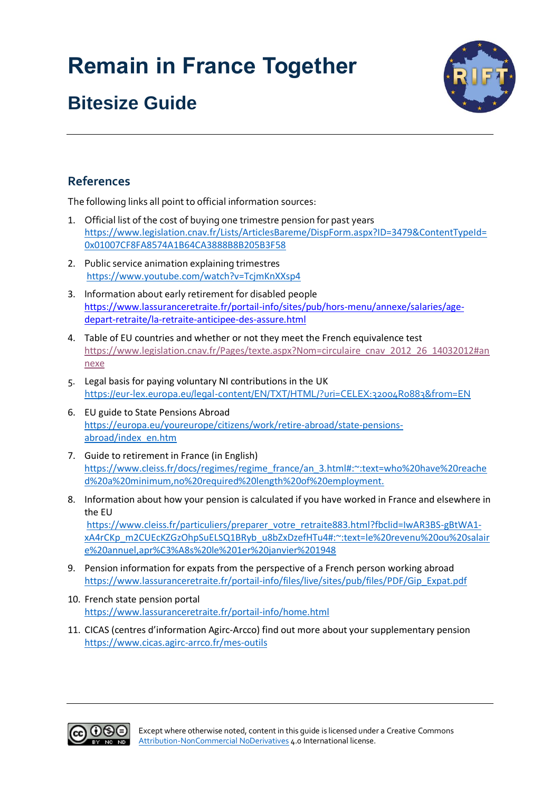## **Bitesize Guide**



#### **References**

The following links all point to official information sources:

- 1. Official list of the cost of buying one trimestre pension for past years [https://www.legislation.cnav.fr/Lists/ArticlesBareme/DispForm.aspx?ID=3479&ContentTypeId=](https://www.legislation.cnav.fr/Lists/ArticlesBareme/DispForm.aspx?ID=3479&ContentTypeId=0x01007CF8FA8574A1B64CA3888B8B205B3F58) [0x01007CF8FA8574A1B64CA3888B8B205B3F58](https://www.legislation.cnav.fr/Lists/ArticlesBareme/DispForm.aspx?ID=3479&ContentTypeId=0x01007CF8FA8574A1B64CA3888B8B205B3F58)
- 2. Public service animation explaining trimestres <https://www.youtube.com/watch?v=TcjmKnXXsp4>
- 3. Information about early retirement for disabled people [https://www.lassuranceretraite.fr/portail-info/sites/pub/hors-menu/annexe/salaries/age](https://www.lassuranceretraite.fr/portail-info/sites/pub/hors-menu/annexe/salaries/age-depart-retraite/la-retraite-anticipee-des-assure.html)[depart-retraite/la-retraite-anticipee-des-assure.html](https://www.lassuranceretraite.fr/portail-info/sites/pub/hors-menu/annexe/salaries/age-depart-retraite/la-retraite-anticipee-des-assure.html)
- 4. Table of EU countries and whether or not they meet the French equivalence test [https://www.legislation.cnav.fr/Pages/texte.aspx?Nom=circulaire\\_cnav\\_2012\\_26\\_14032012#an](https://www.legislation.cnav.fr/Pages/texte.aspx?Nom=circulaire_cnav_2012_26_14032012#annexe) [nexe](https://www.legislation.cnav.fr/Pages/texte.aspx?Nom=circulaire_cnav_2012_26_14032012#annexe)
- 5. Legal basis for paying voluntary NI contributions in the UK <https://eur-lex.europa.eu/legal-content/EN/TXT/HTML/?uri=CELEX:32004R0883&from=EN>
- 6. EU guide to State Pensions Abroad [https://europa.eu/youreurope/citizens/work/retire-abroad/state-pensions](https://europa.eu/youreurope/citizens/work/retire-abroad/state-pensions-abroad/index_en.htm)[abroad/index\\_en.htm](https://europa.eu/youreurope/citizens/work/retire-abroad/state-pensions-abroad/index_en.htm)
- 7. Guide to retirement in France (in English) [https://www.cleiss.fr/docs/regimes/regime\\_france/an\\_3.html#:~:text=who%20have%20reache](https://www.cleiss.fr/docs/regimes/regime_france/an_3.html#:~:text=who%20have%20reached%20a%20minimum,no%20required%20length%20of%20employment.) [d%20a%20minimum,no%20required%20length%20of%20employment.](https://www.cleiss.fr/docs/regimes/regime_france/an_3.html#:~:text=who%20have%20reached%20a%20minimum,no%20required%20length%20of%20employment.)
- 8. Information about how your pension is calculated if you have worked in France and elsewhere in the EU [https://www.cleiss.fr/particuliers/preparer\\_votre\\_retraite883.html?fbclid=IwAR3BS-gBtWA1](https://www.cleiss.fr/particuliers/preparer_votre_retraite883.html?fbclid=IwAR3BS-gBtWA1-xA4rCKp_m2CUEcKZGzOhpSuELSQ1BRyb_u8bZxDzefHTu4#:~:text=le%20revenu%20ou%20salaire%20annuel,apr%C3%A8s%20le%201er%20janvier%201948) [xA4rCKp\\_m2CUEcKZGzOhpSuELSQ1BRyb\\_u8bZxDzefHTu4#:~:text=le%20revenu%20ou%20salair](https://www.cleiss.fr/particuliers/preparer_votre_retraite883.html?fbclid=IwAR3BS-gBtWA1-xA4rCKp_m2CUEcKZGzOhpSuELSQ1BRyb_u8bZxDzefHTu4#:~:text=le%20revenu%20ou%20salaire%20annuel,apr%C3%A8s%20le%201er%20janvier%201948) [e%20annuel,apr%C3%A8s%20le%201er%20janvier%201948](https://www.cleiss.fr/particuliers/preparer_votre_retraite883.html?fbclid=IwAR3BS-gBtWA1-xA4rCKp_m2CUEcKZGzOhpSuELSQ1BRyb_u8bZxDzefHTu4#:~:text=le%20revenu%20ou%20salaire%20annuel,apr%C3%A8s%20le%201er%20janvier%201948)
- 9. Pension information for expats from the perspective of a French person working abroad [https://www.lassuranceretraite.fr/portail-info/files/live/sites/pub/files/PDF/Gip\\_Expat.pdf](https://www.lassuranceretraite.fr/portail-info/files/live/sites/pub/files/PDF/Gip_Expat.pdf)
- 10. French state pension portal <https://www.lassuranceretraite.fr/portail-info/home.html>
- 11. CICAS (centres d'information Agirc-Arcco) find out more about your supplementary pension <https://www.cicas.agirc-arrco.fr/mes-outils>